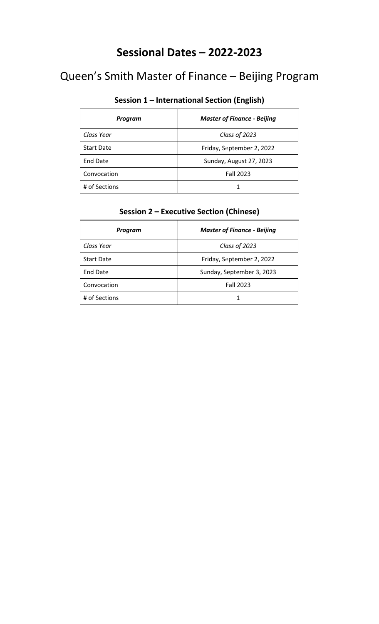### **Sessional Dates – 2022-2023**

# Queen's Smith Master of Finance – Beijing Program

#### **Session 1 – International Section (English)**

| Program           | <b>Master of Finance - Beijing</b> |
|-------------------|------------------------------------|
| Class Year        | Class of 2023                      |
| <b>Start Date</b> | Friday, September 2, 2022          |
| <b>End Date</b>   | Sunday, August 27, 2023            |
| Convocation       | <b>Fall 2023</b>                   |
| # of Sections     |                                    |

| Program           | <b>Master of Finance - Beijing</b> |
|-------------------|------------------------------------|
| Class Year        | Class of 2023                      |
| <b>Start Date</b> | Friday, September 2, 2022          |
| <b>End Date</b>   | Sunday, September 3, 2023          |
| Convocation       | <b>Fall 2023</b>                   |
| # of Sections     |                                    |

#### **Session 2 – Executive Section (Chinese)**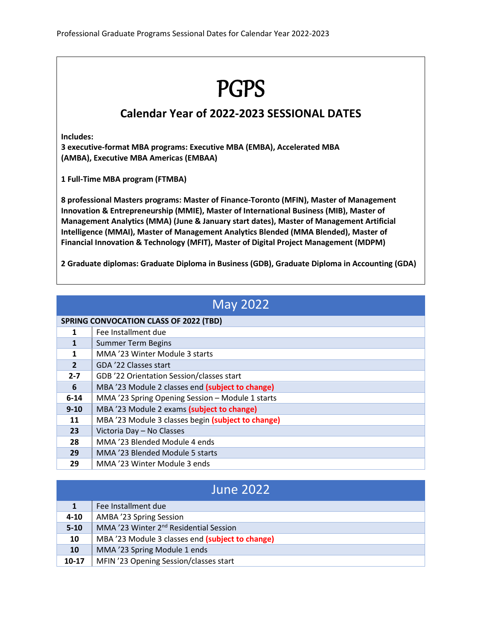# PGPS

#### **Calendar Year of 2022-2023 SESSIONAL DATES**

**Includes:**

**3 executive-format MBA programs: Executive MBA (EMBA), Accelerated MBA (AMBA), Executive MBA Americas (EMBAA)**

**1 Full-Time MBA program (FTMBA)**

**8 professional Masters programs: Master of Finance-Toronto (MFIN), Master of Management Innovation & Entrepreneurship (MMIE), Master of International Business (MIB), Master of Management Analytics (MMA) (June & January start dates), Master of Management Artificial Intelligence (MMAI), Master of Management Analytics Blended (MMA Blended), Master of Financial Innovation & Technology (MFIT), Master of Digital Project Management (MDPM)**

**2 Graduate diplomas: Graduate Diploma in Business (GDB), Graduate Diploma in Accounting (GDA)**

|                | <b>May 2022</b>                                    |  |
|----------------|----------------------------------------------------|--|
|                | <b>SPRING CONVOCATION CLASS OF 2022 (TBD)</b>      |  |
| 1              | Fee Installment due                                |  |
| 1              | <b>Summer Term Begins</b>                          |  |
| 1              | MMA '23 Winter Module 3 starts                     |  |
| $\overline{2}$ | GDA '22 Classes start                              |  |
| $2 - 7$        | GDB '22 Orientation Session/classes start          |  |
| 6              | MBA '23 Module 2 classes end (subject to change)   |  |
| $6 - 14$       | MMA '23 Spring Opening Session - Module 1 starts   |  |
| $9 - 10$       | MBA '23 Module 2 exams (subject to change)         |  |
| 11             | MBA '23 Module 3 classes begin (subject to change) |  |
| 23             | Victoria Day - No Classes                          |  |
| 28             | MMA '23 Blended Module 4 ends                      |  |
| 29             | MMA '23 Blended Module 5 starts                    |  |
| 29             | MMA '23 Winter Module 3 ends                       |  |

| <b>June 2022</b> |                                                    |
|------------------|----------------------------------------------------|
|                  | Fee Installment due                                |
| $4 - 10$         | AMBA '23 Spring Session                            |
| $5 - 10$         | MMA '23 Winter 2 <sup>nd</sup> Residential Session |
| 10               | MBA '23 Module 3 classes end (subject to change)   |
| <b>10</b>        | MMA '23 Spring Module 1 ends                       |
| $10-17$          | MFIN '23 Opening Session/classes start             |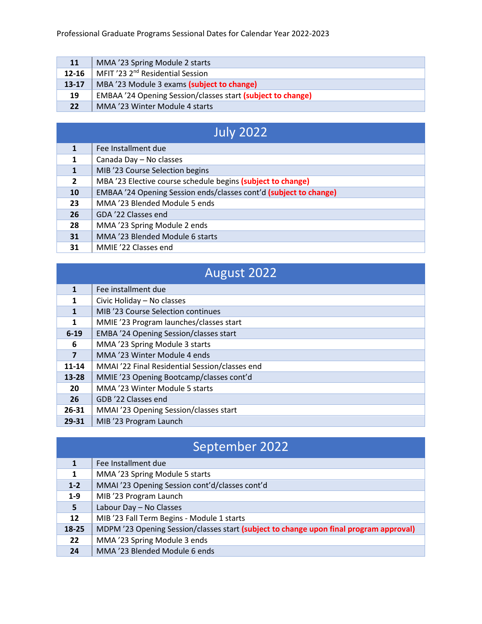| <b>11</b>         | MMA '23 Spring Module 2 starts                                     |
|-------------------|--------------------------------------------------------------------|
| $12 - 16$         | MFIT '23 2 <sup>nd</sup> Residential Session                       |
| $13 - 17$         | MBA '23 Module 3 exams (subject to change)                         |
| 19                | <b>EMBAA</b> '24 Opening Session/classes start (subject to change) |
| $22 \overline{ }$ | MMA '23 Winter Module 4 starts                                     |

# July 2022

| 1              | Fee Installment due                                               |
|----------------|-------------------------------------------------------------------|
| 1              | Canada Day - No classes                                           |
|                | MIB '23 Course Selection begins                                   |
| $\overline{2}$ | MBA '23 Elective course schedule begins (subject to change)       |
| 10             | EMBAA '24 Opening Session ends/classes cont'd (subject to change) |
| 23             | MMA '23 Blended Module 5 ends                                     |
| 26             | GDA '22 Classes end                                               |
| 28             | MMA '23 Spring Module 2 ends                                      |
| 31             | MMA '23 Blended Module 6 starts                                   |
| 31             | MMIE '22 Classes end                                              |

|                         | August 2022                                    |
|-------------------------|------------------------------------------------|
| 1                       | Fee installment due                            |
| 1                       | Civic Holiday - No classes                     |
|                         | MIB '23 Course Selection continues             |
| 1                       | MMIE '23 Program launches/classes start        |
| $6 - 19$                | EMBA '24 Opening Session/classes start         |
| 6                       | MMA '23 Spring Module 3 starts                 |
| $\overline{\mathbf{z}}$ | MMA '23 Winter Module 4 ends                   |
| 11-14                   | MMAI '22 Final Residential Session/classes end |
| $13 - 28$               | MMIE '23 Opening Bootcamp/classes cont'd       |
| 20                      | MMA '23 Winter Module 5 starts                 |
| 26                      | GDB '22 Classes end                            |
| $26 - 31$               | MMAI '23 Opening Session/classes start         |
| 29-31                   | MIB '23 Program Launch                         |

### September 2022

| 1                 | Fee Installment due                                                                    |
|-------------------|----------------------------------------------------------------------------------------|
| 1                 | MMA '23 Spring Module 5 starts                                                         |
| $1-2$             | MMAI '23 Opening Session cont'd/classes cont'd                                         |
| $1-9$             | MIB '23 Program Launch                                                                 |
| 5                 | Labour Day - No Classes                                                                |
| $12 \overline{ }$ | MIB '23 Fall Term Begins - Module 1 starts                                             |
| 18-25             | MDPM '23 Opening Session/classes start (subject to change upon final program approval) |
| 22                | MMA '23 Spring Module 3 ends                                                           |
| 24                | MMA '23 Blended Module 6 ends                                                          |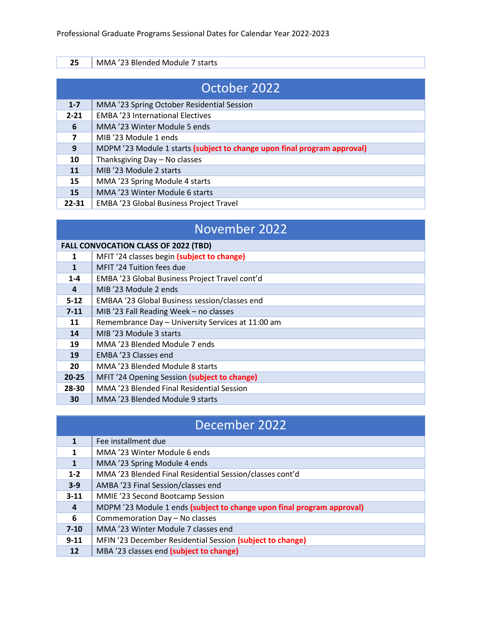| 25           | MMA '23 Blended Module 7 starts                                          |
|--------------|--------------------------------------------------------------------------|
|              |                                                                          |
| October 2022 |                                                                          |
|              |                                                                          |
| $1 - 7$      | MMA '23 Spring October Residential Session                               |
| $2 - 21$     | <b>EMBA '23 International Electives</b>                                  |
| 6            | MMA '23 Winter Module 5 ends                                             |
|              | MIB '23 Module 1 ends                                                    |
| 9            | MDPM '23 Module 1 starts (subject to change upon final program approval) |

- 10 | Thanksgiving Day No classes
- **11** MIB '23 Module 2 starts
- 15 | MMA '23 Spring Module 4 starts
- 15 | MMA '23 Winter Module 6 starts
- 22-31 | EMBA '23 Global Business Project Travel

### November 2022

#### **FALL CONVOCATION CLASS OF 2022 (TBD)**

| 1              | MFIT '24 classes begin (subject to change)        |
|----------------|---------------------------------------------------|
| $\mathbf{1}$   | MFIT '24 Tuition fees due                         |
| $1 - 4$        | EMBA '23 Global Business Project Travel cont'd    |
| $\overline{a}$ | MIB '23 Module 2 ends                             |
| $5 - 12$       | EMBAA '23 Global Business session/classes end     |
| $7 - 11$       | MIB '23 Fall Reading Week - no classes            |
| 11             | Remembrance Day - University Services at 11:00 am |
| 14             | MIB '23 Module 3 starts                           |
| 19             | MMA '23 Blended Module 7 ends                     |
| 19             | EMBA '23 Classes end                              |
| 20             | MMA '23 Blended Module 8 starts                   |
| $20 - 25$      | MFIT '24 Opening Session (subject to change)      |
| 28-30          | MMA '23 Blended Final Residential Session         |
| 30             | MMA '23 Blended Module 9 starts                   |

#### December 2022

|              | Fee installment due                                                    |
|--------------|------------------------------------------------------------------------|
| 1            | MMA '23 Winter Module 6 ends                                           |
| $\mathbf{1}$ | MMA '23 Spring Module 4 ends                                           |
| $1 - 2$      | MMA '23 Blended Final Residential Session/classes cont'd               |
| $3 - 9$      | AMBA '23 Final Session/classes end                                     |
| $3 - 11$     | MMIE '23 Second Bootcamp Session                                       |
| 4            | MDPM '23 Module 1 ends (subject to change upon final program approval) |
| 6            | Commemoration Day - No classes                                         |
| $7 - 10$     | MMA '23 Winter Module 7 classes end                                    |
| $9 - 11$     | MFIN '23 December Residential Session (subject to change)              |
| 12           | MBA '23 classes end (subject to change)                                |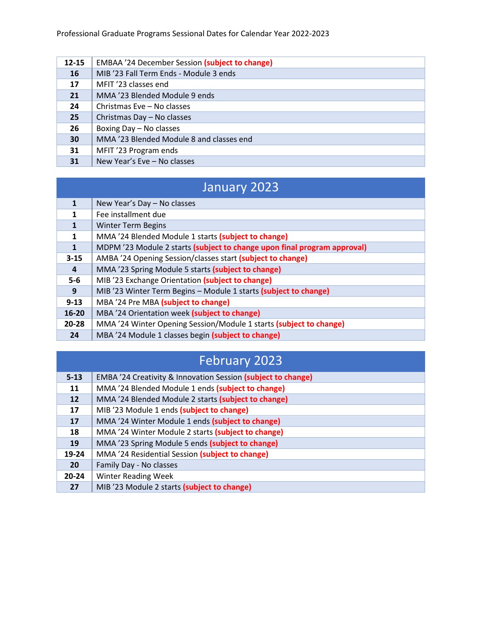| 12-15 | <b>EMBAA</b> '24 December Session (subject to change) |
|-------|-------------------------------------------------------|
| 16    | MIB '23 Fall Term Ends - Module 3 ends                |
| 17    | MFIT '23 classes end                                  |
| 21    | MMA '23 Blended Module 9 ends                         |
| 24    | Christmas Eve - No classes                            |
| 25    | Christmas Day - No classes                            |
| 26    | Boxing Day - No classes                               |
| 30    | MMA '23 Blended Module 8 and classes end              |
| 31    | MFIT '23 Program ends                                 |
| 31    | New Year's Eve - No classes                           |

### January 2023

|                | New Year's Day - No classes                                              |
|----------------|--------------------------------------------------------------------------|
| 1              | Fee installment due                                                      |
| 1              | <b>Winter Term Begins</b>                                                |
| 1              | MMA '24 Blended Module 1 starts (subject to change)                      |
| $\mathbf{1}$   | MDPM '23 Module 2 starts (subject to change upon final program approval) |
| $3 - 15$       | AMBA '24 Opening Session/classes start (subject to change)               |
| $\overline{a}$ | MMA '23 Spring Module 5 starts (subject to change)                       |
| $5-6$          | MIB '23 Exchange Orientation (subject to change)                         |
| 9              | MIB '23 Winter Term Begins - Module 1 starts (subject to change)         |
| $9 - 13$       | MBA '24 Pre MBA (subject to change)                                      |
| $16 - 20$      | MBA '24 Orientation week (subject to change)                             |
| 20-28          | MMA '24 Winter Opening Session/Module 1 starts (subject to change)       |
| 24             | MBA '24 Module 1 classes begin (subject to change)                       |

### February 2023

| $5 - 13$  | EMBA '24 Creativity & Innovation Session (subject to change) |
|-----------|--------------------------------------------------------------|
| 11        | MMA '24 Blended Module 1 ends (subject to change)            |
| 12        | MMA '24 Blended Module 2 starts (subject to change)          |
| 17        | MIB '23 Module 1 ends (subject to change)                    |
| 17        | MMA '24 Winter Module 1 ends (subject to change)             |
| 18        | MMA '24 Winter Module 2 starts (subject to change)           |
| 19        | MMA '23 Spring Module 5 ends (subject to change)             |
| 19-24     | MMA '24 Residential Session (subject to change)              |
| <b>20</b> | Family Day - No classes                                      |
| $20 - 24$ | <b>Winter Reading Week</b>                                   |
| 27        | MIB '23 Module 2 starts (subject to change)                  |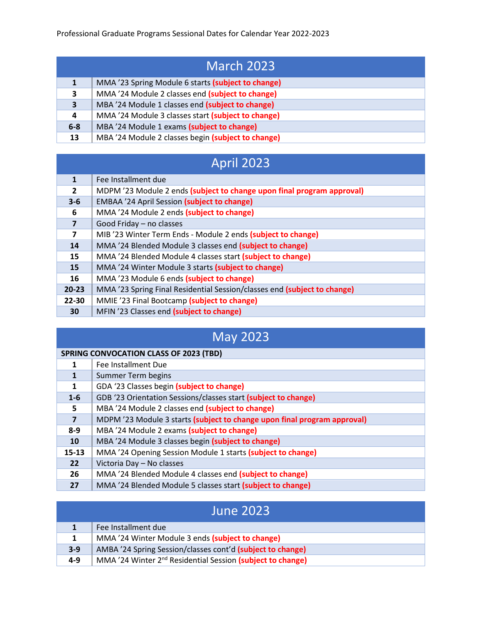| <b>March 2023</b>       |                                                    |
|-------------------------|----------------------------------------------------|
|                         | MMA '23 Spring Module 6 starts (subject to change) |
| 3                       | MMA '24 Module 2 classes end (subject to change)   |
| $\overline{\mathbf{3}}$ | MBA '24 Module 1 classes end (subject to change)   |
| 4                       | MMA '24 Module 3 classes start (subject to change) |
| $6 - 8$                 | MBA '24 Module 1 exams (subject to change)         |
| 13                      | MBA '24 Module 2 classes begin (subject to change) |

# April 2023

| 1              | Fee Installment due                                                      |
|----------------|--------------------------------------------------------------------------|
| $\overline{2}$ | MDPM '23 Module 2 ends (subject to change upon final program approval)   |
| $3 - 6$        | <b>EMBAA</b> '24 April Session (subject to change)                       |
| 6              | MMA '24 Module 2 ends (subject to change)                                |
| $\overline{7}$ | Good Friday - no classes                                                 |
| 7              | MIB '23 Winter Term Ends - Module 2 ends (subject to change)             |
| 14             | MMA '24 Blended Module 3 classes end (subject to change)                 |
| 15             | MMA '24 Blended Module 4 classes start (subject to change)               |
| 15             | MMA '24 Winter Module 3 starts (subject to change)                       |
| 16             | MMA '23 Module 6 ends (subject to change)                                |
| $20 - 23$      | MMA '23 Spring Final Residential Session/classes end (subject to change) |
| 22-30          | MMIE '23 Final Bootcamp (subject to change)                              |
| 30             | MFIN '23 Classes end (subject to change)                                 |

# May 2023

| <b>SPRING CONVOCATION CLASS OF 2023 (TBD)</b> |                                                                          |
|-----------------------------------------------|--------------------------------------------------------------------------|
| 1                                             | Fee Installment Due                                                      |
| 1                                             | Summer Term begins                                                       |
| 1                                             | GDA '23 Classes begin (subject to change)                                |
| $1-6$                                         | GDB '23 Orientation Sessions/classes start (subject to change)           |
| 5                                             | MBA '24 Module 2 classes end (subject to change)                         |
| $\overline{7}$                                | MDPM '23 Module 3 starts (subject to change upon final program approval) |
| $8 - 9$                                       | MBA '24 Module 2 exams (subject to change)                               |
| 10                                            | MBA '24 Module 3 classes begin (subject to change)                       |
| $15 - 13$                                     | MMA '24 Opening Session Module 1 starts (subject to change)              |
| 22                                            | Victoria Day - No classes                                                |
| 26                                            | MMA '24 Blended Module 4 classes end (subject to change)                 |
| 27                                            | MMA '24 Blended Module 5 classes start (subject to change)               |

| <b>June 2023</b> |                                                                        |
|------------------|------------------------------------------------------------------------|
|                  | Fee Installment due                                                    |
| 1                | MMA '24 Winter Module 3 ends (subject to change)                       |
| $3-9$            | AMBA '24 Spring Session/classes cont'd (subject to change)             |
| 4-9              | MMA '24 Winter 2 <sup>nd</sup> Residential Session (subject to change) |